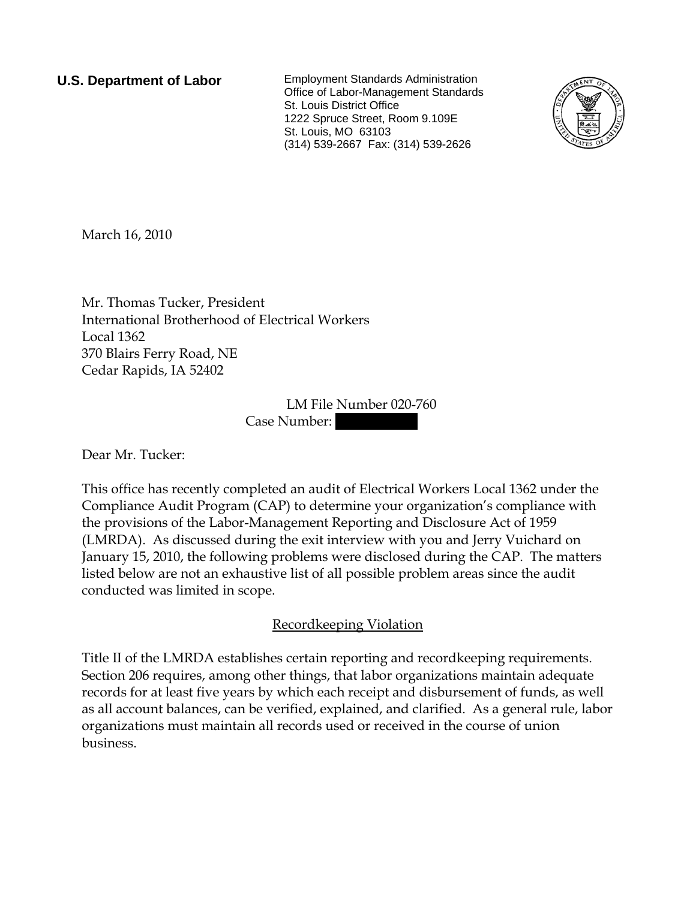**U.S. Department of Labor** Employment Standards Administration Office of Labor-Management Standards St. Louis District Office 1222 Spruce Street, Room 9.109E St. Louis, MO 63103 (314) 539-2667 Fax: (314) 539-2626



March 16, 2010

Mr. Thomas Tucker, President International Brotherhood of Electrical Workers Local 1362 370 Blairs Ferry Road, NE Cedar Rapids, IA 52402

> LM File Number 020-760 Case Number:

Dear Mr. Tucker:

This office has recently completed an audit of Electrical Workers Local 1362 under the Compliance Audit Program (CAP) to determine your organization's compliance with the provisions of the Labor-Management Reporting and Disclosure Act of 1959 (LMRDA). As discussed during the exit interview with you and Jerry Vuichard on January 15, 2010, the following problems were disclosed during the CAP. The matters listed below are not an exhaustive list of all possible problem areas since the audit conducted was limited in scope.

Recordkeeping Violation

Title II of the LMRDA establishes certain reporting and recordkeeping requirements. Section 206 requires, among other things, that labor organizations maintain adequate records for at least five years by which each receipt and disbursement of funds, as well as all account balances, can be verified, explained, and clarified. As a general rule, labor organizations must maintain all records used or received in the course of union business.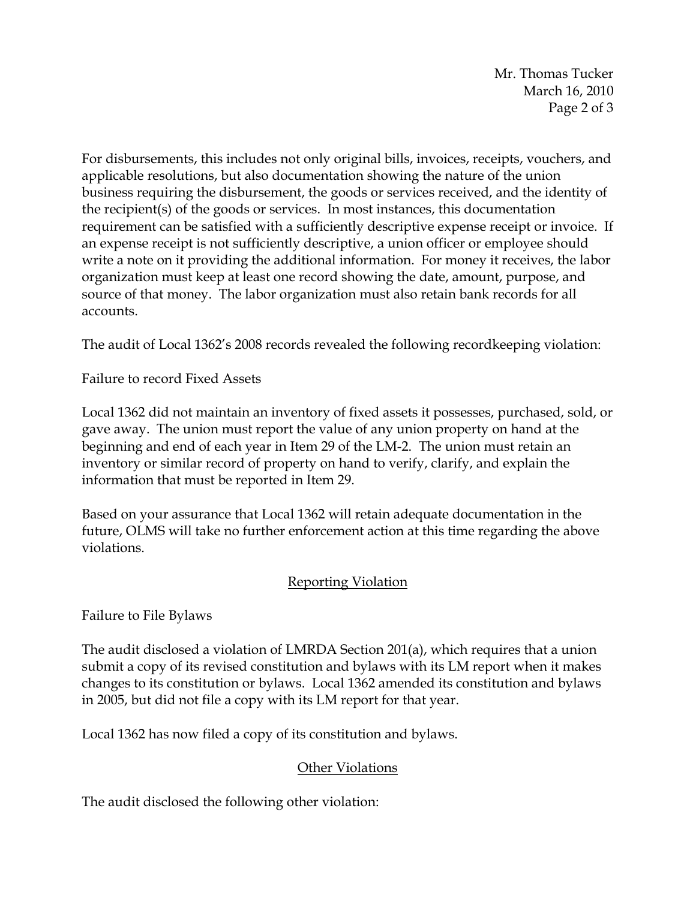Mr. Thomas Tucker March 16, 2010 Page 2 of 3

For disbursements, this includes not only original bills, invoices, receipts, vouchers, and applicable resolutions, but also documentation showing the nature of the union business requiring the disbursement, the goods or services received, and the identity of the recipient(s) of the goods or services. In most instances, this documentation requirement can be satisfied with a sufficiently descriptive expense receipt or invoice. If an expense receipt is not sufficiently descriptive, a union officer or employee should write a note on it providing the additional information. For money it receives, the labor organization must keep at least one record showing the date, amount, purpose, and source of that money. The labor organization must also retain bank records for all accounts.

The audit of Local 1362's 2008 records revealed the following recordkeeping violation:

Failure to record Fixed Assets

Local 1362 did not maintain an inventory of fixed assets it possesses, purchased, sold, or gave away. The union must report the value of any union property on hand at the beginning and end of each year in Item 29 of the LM-2. The union must retain an inventory or similar record of property on hand to verify, clarify, and explain the information that must be reported in Item 29.

Based on your assurance that Local 1362 will retain adequate documentation in the future, OLMS will take no further enforcement action at this time regarding the above violations.

## Reporting Violation

Failure to File Bylaws

The audit disclosed a violation of LMRDA Section 201(a), which requires that a union submit a copy of its revised constitution and bylaws with its LM report when it makes changes to its constitution or bylaws. Local 1362 amended its constitution and bylaws in 2005, but did not file a copy with its LM report for that year.

Local 1362 has now filed a copy of its constitution and bylaws.

## Other Violations

The audit disclosed the following other violation: